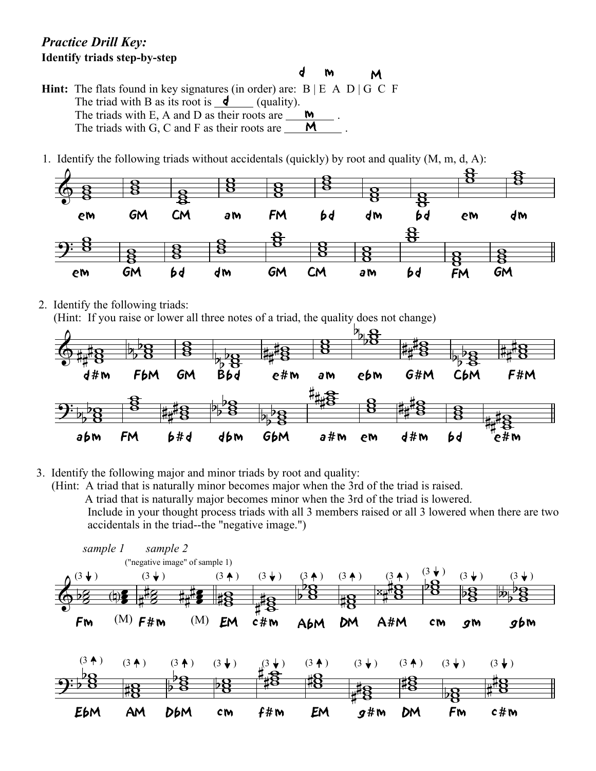## *Practice Drill Key:* **Identify triads step-by-step**

- **Hint:** The flats found in key signatures (in order) are:  $B \nvert E \nvert A \nvert D \nvert G \nvert C \nvert F$ The triad with B as its root is  $\blacksquare$  (quality). The triads with E, A and D as their roots are  $\frac{M}{\sqrt{2}}$ . The triads with G, C and F as their roots are  $\frac{M}{\sqrt{M}}$ . M
- 1. Identify the following triads without accidentals (quickly) by root and quality (M, m, d, A):



d

m

2. Identify the following triads:

(Hint: If you raise or lower all three notes of a triad, the quality does not change)



3. Identify the following major and minor triads by root and quality:

 (Hint: A triad that is naturally minor becomes major when the 3rd of the triad is raised. A triad that is naturally major becomes minor when the 3rd of the triad is lowered. Include in your thought process triads with all 3 members raised or all 3 lowered when there are two accidentals in the triad--the "negative image.")